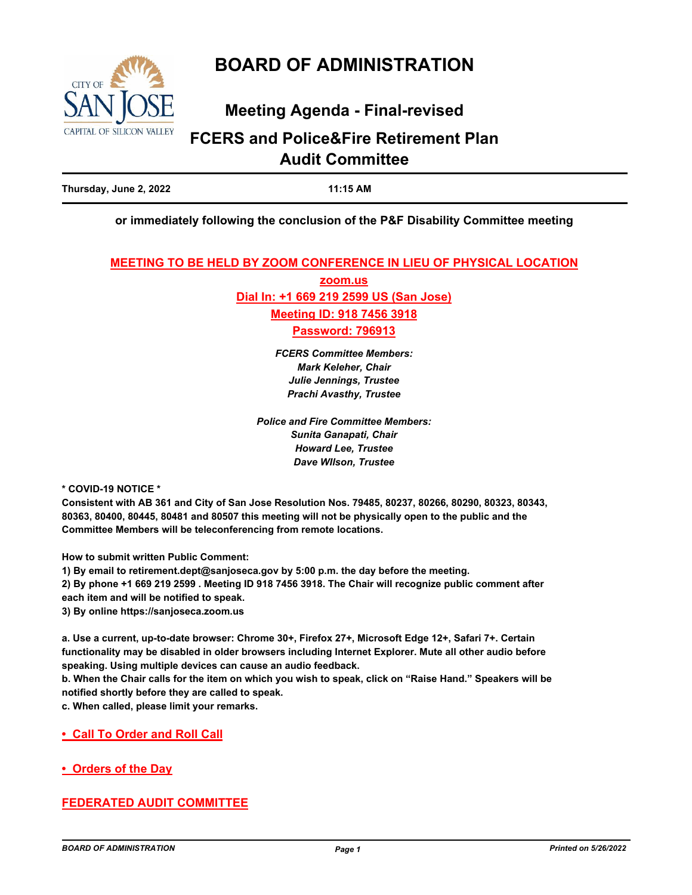

# **BOARD OF ADMINISTRATION**

# **Meeting Agenda - Final-revised**

# **FCERS and Police&Fire Retirement Plan Audit Committee**

**Thursday, June 2, 2022 11:15 AM**

## **or immediately following the conclusion of the P&F Disability Committee meeting**

### **MEETING TO BE HELD BY ZOOM CONFERENCE IN LIEU OF PHYSICAL LOCATION**

**zoom.us Dial In: +1 669 219 2599 US (San Jose) Meeting ID: 918 7456 3918 Password: 796913**

> *FCERS Committee Members: Mark Keleher, Chair Julie Jennings, Trustee Prachi Avasthy, Trustee*

*Police and Fire Committee Members: Sunita Ganapati, Chair Howard Lee, Trustee Dave WIlson, Trustee*

**\* COVID-19 NOTICE \***

**Consistent with AB 361 and City of San Jose Resolution Nos. 79485, 80237, 80266, 80290, 80323, 80343, 80363, 80400, 80445, 80481 and 80507 this meeting will not be physically open to the public and the Committee Members will be teleconferencing from remote locations.**

**How to submit written Public Comment:**

**1) By email to retirement.dept@sanjoseca.gov by 5:00 p.m. the day before the meeting.**

**2) By phone +1 669 219 2599 . Meeting ID 918 7456 3918. The Chair will recognize public comment after each item and will be notified to speak.**

**3) By online https://sanjoseca.zoom.us**

**a. Use a current, up-to-date browser: Chrome 30+, Firefox 27+, Microsoft Edge 12+, Safari 7+. Certain functionality may be disabled in older browsers including Internet Explorer. Mute all other audio before speaking. Using multiple devices can cause an audio feedback.**

**b. When the Chair calls for the item on which you wish to speak, click on "Raise Hand." Speakers will be notified shortly before they are called to speak.**

**c. When called, please limit your remarks.**

**• Call To Order and Roll Call**

**• Orders of the Day**

# **FEDERATED AUDIT COMMITTEE**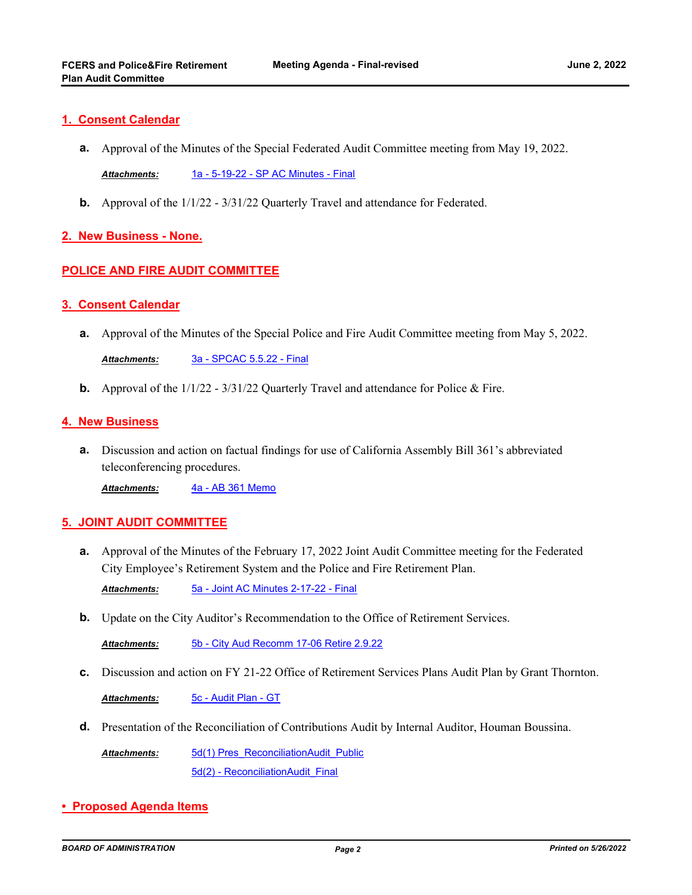## **1. Consent Calendar**

**a.** Approval of the Minutes of the Special Federated Audit Committee meeting from May 19, 2022.

*Attachments:* [1a - 5-19-22 - SP AC Minutes - Final](http://sjrs.legistar.com/gateway.aspx?M=F&ID=b85fbe20-6bc8-4fc6-93b7-058be66b340b.pdf)

**b.** Approval of the  $1/1/22 - 3/31/22$  Quarterly Travel and attendance for Federated.

## **2. New Business - None.**

# **POLICE AND FIRE AUDIT COMMITTEE**

### **3. Consent Calendar**

**a.** Approval of the Minutes of the Special Police and Fire Audit Committee meeting from May 5, 2022.

*Attachments:* [3a - SPCAC 5.5.22 - Final](http://sjrs.legistar.com/gateway.aspx?M=F&ID=3a0ebc31-be3b-4e9e-ad60-dd227aa612ab.pdf)

**b.** Approval of the  $1/1/22 - 3/31/22$  Quarterly Travel and attendance for Police & Fire.

### **4. New Business**

Discussion and action on factual findings for use of California Assembly Bill 361's abbreviated **a.** teleconferencing procedures.

*Attachments:* [4a - AB 361 Memo](http://sjrs.legistar.com/gateway.aspx?M=F&ID=d681f178-366a-40f4-8889-ef377d8b8189.pdf)

## **5. JOINT AUDIT COMMITTEE**

Approval of the Minutes of the February 17, 2022 Joint Audit Committee meeting for the Federated **a.** City Employee's Retirement System and the Police and Fire Retirement Plan.

*Attachments:* [5a - Joint AC Minutes 2-17-22 - Final](http://sjrs.legistar.com/gateway.aspx?M=F&ID=a29fc450-66d0-4403-88a8-d75af65a0e62.pdf)

**b.** Update on the City Auditor's Recommendation to the Office of Retirement Services.

*Attachments:* [5b - City Aud Recomm 17-06 Retire 2.9.22](http://sjrs.legistar.com/gateway.aspx?M=F&ID=d22a222c-1e59-4bb4-9632-2c14a4891432.pdf)

**c.** Discussion and action on FY 21-22 Office of Retirement Services Plans Audit Plan by Grant Thornton.

*Attachments:* [5c - Audit Plan - GT](http://sjrs.legistar.com/gateway.aspx?M=F&ID=ae6764cf-f7dc-46c5-b864-41a89cb88779.pdf)

**d.** Presentation of the Reconciliation of Contributions Audit by Internal Auditor, Houman Boussina.

[5d\(1\) Pres\\_ReconciliationAudit\\_Public](http://sjrs.legistar.com/gateway.aspx?M=F&ID=026c9af1-32f5-418e-b105-f46acafe0d29.pdf) [5d\(2\) - ReconciliationAudit\\_Final](http://sjrs.legistar.com/gateway.aspx?M=F&ID=a19ffaba-6184-4ebb-9e17-89992839e05d.pdf) *Attachments:*

**• Proposed Agenda Items**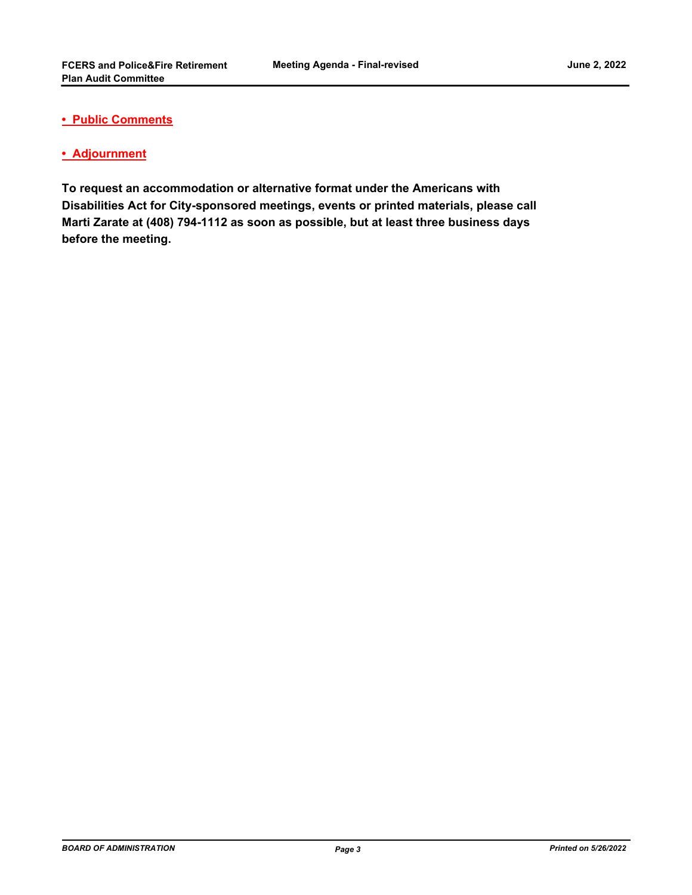## **• Public Comments**

## **• Adjournment**

**To request an accommodation or alternative format under the Americans with Disabilities Act for City-sponsored meetings, events or printed materials, please call Marti Zarate at (408) 794-1112 as soon as possible, but at least three business days before the meeting.**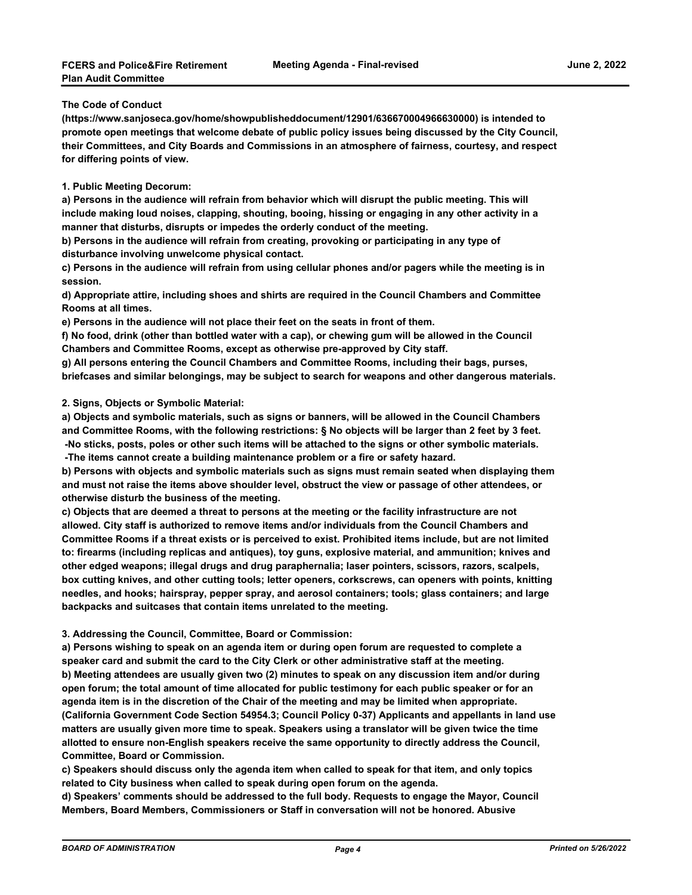#### **The Code of Conduct**

**(https://www.sanjoseca.gov/home/showpublisheddocument/12901/636670004966630000) is intended to promote open meetings that welcome debate of public policy issues being discussed by the City Council, their Committees, and City Boards and Commissions in an atmosphere of fairness, courtesy, and respect for differing points of view.**

#### **1. Public Meeting Decorum:**

**a) Persons in the audience will refrain from behavior which will disrupt the public meeting. This will include making loud noises, clapping, shouting, booing, hissing or engaging in any other activity in a manner that disturbs, disrupts or impedes the orderly conduct of the meeting.**

**b) Persons in the audience will refrain from creating, provoking or participating in any type of disturbance involving unwelcome physical contact.**

**c) Persons in the audience will refrain from using cellular phones and/or pagers while the meeting is in session.**

**d) Appropriate attire, including shoes and shirts are required in the Council Chambers and Committee Rooms at all times.**

**e) Persons in the audience will not place their feet on the seats in front of them.**

**f) No food, drink (other than bottled water with a cap), or chewing gum will be allowed in the Council Chambers and Committee Rooms, except as otherwise pre-approved by City staff.**

**g) All persons entering the Council Chambers and Committee Rooms, including their bags, purses, briefcases and similar belongings, may be subject to search for weapons and other dangerous materials.**

#### **2. Signs, Objects or Symbolic Material:**

**a) Objects and symbolic materials, such as signs or banners, will be allowed in the Council Chambers and Committee Rooms, with the following restrictions: § No objects will be larger than 2 feet by 3 feet. -No sticks, posts, poles or other such items will be attached to the signs or other symbolic materials.**

 **-The items cannot create a building maintenance problem or a fire or safety hazard.**

**b) Persons with objects and symbolic materials such as signs must remain seated when displaying them and must not raise the items above shoulder level, obstruct the view or passage of other attendees, or otherwise disturb the business of the meeting.**

**c) Objects that are deemed a threat to persons at the meeting or the facility infrastructure are not allowed. City staff is authorized to remove items and/or individuals from the Council Chambers and Committee Rooms if a threat exists or is perceived to exist. Prohibited items include, but are not limited to: firearms (including replicas and antiques), toy guns, explosive material, and ammunition; knives and other edged weapons; illegal drugs and drug paraphernalia; laser pointers, scissors, razors, scalpels, box cutting knives, and other cutting tools; letter openers, corkscrews, can openers with points, knitting needles, and hooks; hairspray, pepper spray, and aerosol containers; tools; glass containers; and large backpacks and suitcases that contain items unrelated to the meeting.**

#### **3. Addressing the Council, Committee, Board or Commission:**

**a) Persons wishing to speak on an agenda item or during open forum are requested to complete a speaker card and submit the card to the City Clerk or other administrative staff at the meeting. b) Meeting attendees are usually given two (2) minutes to speak on any discussion item and/or during open forum; the total amount of time allocated for public testimony for each public speaker or for an agenda item is in the discretion of the Chair of the meeting and may be limited when appropriate. (California Government Code Section 54954.3; Council Policy 0-37) Applicants and appellants in land use matters are usually given more time to speak. Speakers using a translator will be given twice the time allotted to ensure non-English speakers receive the same opportunity to directly address the Council, Committee, Board or Commission.**

**c) Speakers should discuss only the agenda item when called to speak for that item, and only topics related to City business when called to speak during open forum on the agenda.**

**d) Speakers' comments should be addressed to the full body. Requests to engage the Mayor, Council Members, Board Members, Commissioners or Staff in conversation will not be honored. Abusive**